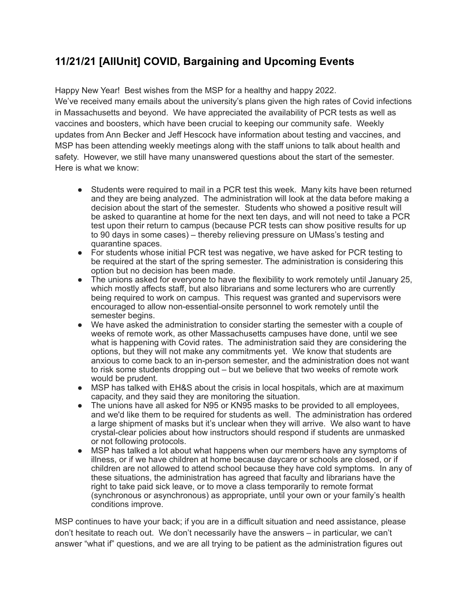## **11/21/21 [AllUnit] COVID, Bargaining and Upcoming Events**

Happy New Year! Best wishes from the MSP for a healthy and happy 2022. We've received many emails about the university's plans given the high rates of Covid infections in Massachusetts and beyond. We have appreciated the availability of PCR tests as well as vaccines and boosters, which have been crucial to keeping our community safe. Weekly updates from Ann Becker and Jeff Hescock have information about testing and vaccines, and MSP has been attending weekly meetings along with the staff unions to talk about health and safety. However, we still have many unanswered questions about the start of the semester. Here is what we know:

- Students were required to mail in a PCR test this week. Many kits have been returned and they are being analyzed. The administration will look at the data before making a decision about the start of the semester. Students who showed a positive result will be asked to quarantine at home for the next ten days, and will not need to take a PCR test upon their return to campus (because PCR tests can show positive results for up to 90 days in some cases) – thereby relieving pressure on UMass's testing and quarantine spaces.
- For students whose initial PCR test was negative, we have asked for PCR testing to be required at the start of the spring semester. The administration is considering this option but no decision has been made.
- The unions asked for everyone to have the flexibility to work remotely until January 25, which mostly affects staff, but also librarians and some lecturers who are currently being required to work on campus. This request was granted and supervisors were encouraged to allow non-essential-onsite personnel to work remotely until the semester begins.
- We have asked the administration to consider starting the semester with a couple of weeks of remote work, as other Massachusetts campuses have done, until we see what is happening with Covid rates. The administration said they are considering the options, but they will not make any commitments yet. We know that students are anxious to come back to an in-person semester, and the administration does not want to risk some students dropping out – but we believe that two weeks of remote work would be prudent.
- MSP has talked with EH&S about the crisis in local hospitals, which are at maximum capacity, and they said they are monitoring the situation.
- The unions have all asked for N95 or KN95 masks to be provided to all employees, and we'd like them to be required for students as well. The administration has ordered a large shipment of masks but it's unclear when they will arrive. We also want to have crystal-clear policies about how instructors should respond if students are unmasked or not following protocols.
- MSP has talked a lot about what happens when our members have any symptoms of illness, or if we have children at home because daycare or schools are closed, or if children are not allowed to attend school because they have cold symptoms. In any of these situations, the administration has agreed that faculty and librarians have the right to take paid sick leave, or to move a class temporarily to remote format (synchronous or asynchronous) as appropriate, until your own or your family's health conditions improve.

MSP continues to have your back; if you are in a difficult situation and need assistance, please don't hesitate to reach out. We don't necessarily have the answers – in particular, we can't answer "what if" questions, and we are all trying to be patient as the administration figures out